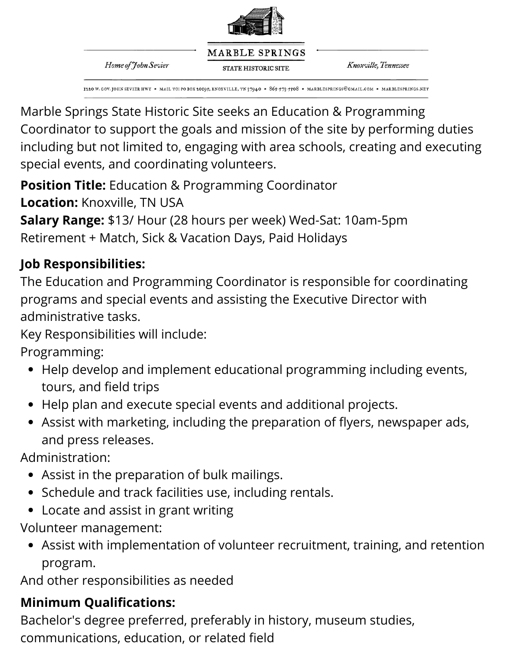

MARBLE SPRINGS **STATE HISTORIC SITE** 

Home of John Sevier

Knoxville, Tennessee

1110 W. GOV. JOHN SEVIER HWY + MAIL TO: PO BOX 10195, KNOXVILLE, TN 37940 + 865-573-5508 + MARBLESPRINGS@GMAIL.COM + MARBLESPRINGS.NET

Marble Springs State Historic Site seeks an Education & Programming Coordinator to support the goals and mission of the site by performing duties including but not limited to, engaging with area schools, creating and executing special events, and coordinating volunteers.

**Position Title:** Education & Programming Coordinator **Location:** Knoxville, TN USA

**Salary Range:** \$13/ Hour (28 hours per week) Wed-Sat: 10am-5pm Retirement + Match, Sick & Vacation Days, Paid Holidays

### **Job Responsibilities:**

The Education and Programming Coordinator is responsible for coordinating programs and special events and assisting the Executive Director with administrative tasks.

Key Responsibilities will include:

Programming:

- Help develop and implement educational programming including events, tours, and field trips
- Help plan and execute special events and additional projects.
- Assist with marketing, including the preparation of flyers, newspaper ads, and press releases.

Administration:

- Assist in the preparation of bulk mailings.
- Schedule and track facilities use, including rentals.
- Locate and assist in grant writing

Volunteer management:

Assist with implementation of volunteer recruitment, training, and retention program.

And other responsibilities as needed

# **Minimum Qualifications:**

Bachelor's degree preferred, preferably in history, museum studies, communications, education, or related field